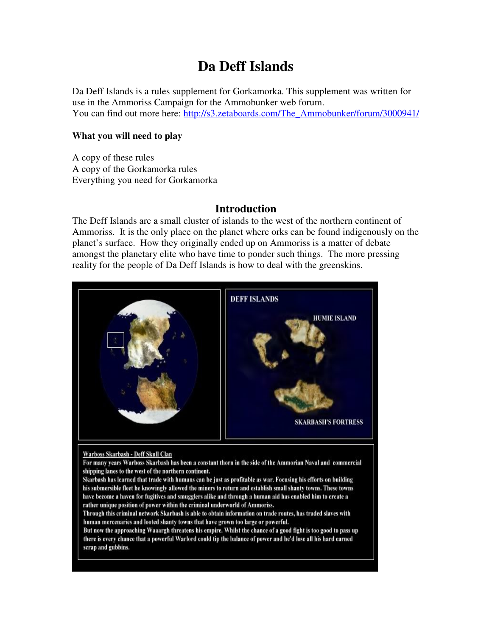# **Da Deff Islands**

Da Deff Islands is a rules supplement for Gorkamorka. This supplement was written for use in the Ammoriss Campaign for the Ammobunker web forum. You can find out more here: http://s3.zetaboards.com/The\_Ammobunker/forum/3000941/

### **What you will need to play**

A copy of these rules A copy of the Gorkamorka rules Everything you need for Gorkamorka

## **Introduction**

The Deff Islands are a small cluster of islands to the west of the northern continent of Ammoriss. It is the only place on the planet where orks can be found indigenously on the planet's surface. How they originally ended up on Ammoriss is a matter of debate amongst the planetary elite who have time to ponder such things. The more pressing reality for the people of Da Deff Islands is how to deal with the greenskins.

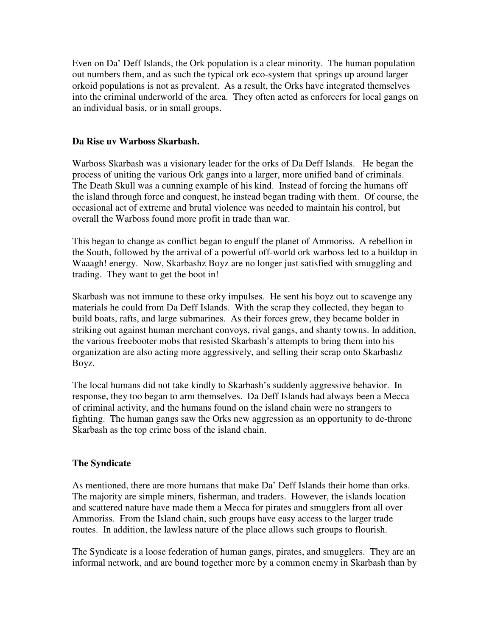Even on Da' Deff Islands, the Ork population is a clear minority. The human population out numbers them, and as such the typical ork eco-system that springs up around larger orkoid populations is not as prevalent. As a result, the Orks have integrated themselves into the criminal underworld of the area. They often acted as enforcers for local gangs on an individual basis, or in small groups.

### **Da Rise uv Warboss Skarbash.**

Warboss Skarbash was a visionary leader for the orks of Da Deff Islands. He began the process of uniting the various Ork gangs into a larger, more unified band of criminals. The Death Skull was a cunning example of his kind. Instead of forcing the humans off the island through force and conquest, he instead began trading with them. Of course, the occasional act of extreme and brutal violence was needed to maintain his control, but overall the Warboss found more profit in trade than war.

This began to change as conflict began to engulf the planet of Ammoriss. A rebellion in the South, followed by the arrival of a powerful off-world ork warboss led to a buildup in Waaagh! energy. Now, Skarbashz Boyz are no longer just satisfied with smuggling and trading. They want to get the boot in!

Skarbash was not immune to these orky impulses. He sent his boyz out to scavenge any materials he could from Da Deff Islands. With the scrap they collected, they began to build boats, rafts, and large submarines. As their forces grew, they became bolder in striking out against human merchant convoys, rival gangs, and shanty towns. In addition, the various freebooter mobs that resisted Skarbash's attempts to bring them into his organization are also acting more aggressively, and selling their scrap onto Skarbashz Boyz.

The local humans did not take kindly to Skarbash's suddenly aggressive behavior. In response, they too began to arm themselves. Da Deff Islands had always been a Mecca of criminal activity, and the humans found on the island chain were no strangers to fighting. The human gangs saw the Orks new aggression as an opportunity to de-throne Skarbash as the top crime boss of the island chain.

## **The Syndicate**

As mentioned, there are more humans that make Da' Deff Islands their home than orks. The majority are simple miners, fisherman, and traders. However, the islands location and scattered nature have made them a Mecca for pirates and smugglers from all over Ammoriss. From the Island chain, such groups have easy access to the larger trade routes. In addition, the lawless nature of the place allows such groups to flourish.

The Syndicate is a loose federation of human gangs, pirates, and smugglers. They are an informal network, and are bound together more by a common enemy in Skarbash than by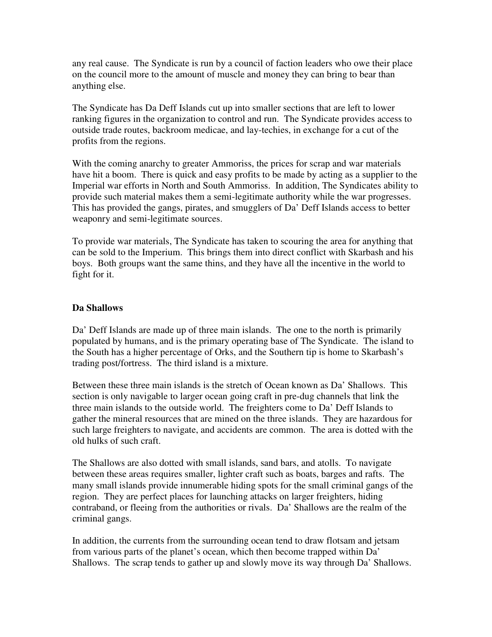any real cause. The Syndicate is run by a council of faction leaders who owe their place on the council more to the amount of muscle and money they can bring to bear than anything else.

The Syndicate has Da Deff Islands cut up into smaller sections that are left to lower ranking figures in the organization to control and run. The Syndicate provides access to outside trade routes, backroom medicae, and lay-techies, in exchange for a cut of the profits from the regions.

With the coming anarchy to greater Ammoriss, the prices for scrap and war materials have hit a boom. There is quick and easy profits to be made by acting as a supplier to the Imperial war efforts in North and South Ammoriss. In addition, The Syndicates ability to provide such material makes them a semi-legitimate authority while the war progresses. This has provided the gangs, pirates, and smugglers of Da' Deff Islands access to better weaponry and semi-legitimate sources.

To provide war materials, The Syndicate has taken to scouring the area for anything that can be sold to the Imperium. This brings them into direct conflict with Skarbash and his boys. Both groups want the same thins, and they have all the incentive in the world to fight for it.

### **Da Shallows**

Da' Deff Islands are made up of three main islands. The one to the north is primarily populated by humans, and is the primary operating base of The Syndicate. The island to the South has a higher percentage of Orks, and the Southern tip is home to Skarbash's trading post/fortress. The third island is a mixture.

Between these three main islands is the stretch of Ocean known as Da' Shallows. This section is only navigable to larger ocean going craft in pre-dug channels that link the three main islands to the outside world. The freighters come to Da' Deff Islands to gather the mineral resources that are mined on the three islands. They are hazardous for such large freighters to navigate, and accidents are common. The area is dotted with the old hulks of such craft.

The Shallows are also dotted with small islands, sand bars, and atolls. To navigate between these areas requires smaller, lighter craft such as boats, barges and rafts. The many small islands provide innumerable hiding spots for the small criminal gangs of the region. They are perfect places for launching attacks on larger freighters, hiding contraband, or fleeing from the authorities or rivals. Da' Shallows are the realm of the criminal gangs.

In addition, the currents from the surrounding ocean tend to draw flotsam and jetsam from various parts of the planet's ocean, which then become trapped within Da' Shallows. The scrap tends to gather up and slowly move its way through Da' Shallows.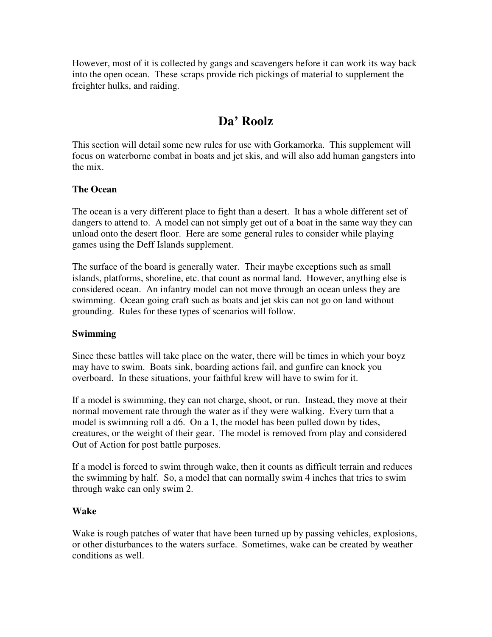However, most of it is collected by gangs and scavengers before it can work its way back into the open ocean. These scraps provide rich pickings of material to supplement the freighter hulks, and raiding.

# **Da' Roolz**

This section will detail some new rules for use with Gorkamorka. This supplement will focus on waterborne combat in boats and jet skis, and will also add human gangsters into the mix.

### **The Ocean**

The ocean is a very different place to fight than a desert. It has a whole different set of dangers to attend to. A model can not simply get out of a boat in the same way they can unload onto the desert floor. Here are some general rules to consider while playing games using the Deff Islands supplement.

The surface of the board is generally water. Their maybe exceptions such as small islands, platforms, shoreline, etc. that count as normal land. However, anything else is considered ocean. An infantry model can not move through an ocean unless they are swimming. Ocean going craft such as boats and jet skis can not go on land without grounding. Rules for these types of scenarios will follow.

## **Swimming**

Since these battles will take place on the water, there will be times in which your boyz may have to swim. Boats sink, boarding actions fail, and gunfire can knock you overboard. In these situations, your faithful krew will have to swim for it.

If a model is swimming, they can not charge, shoot, or run. Instead, they move at their normal movement rate through the water as if they were walking. Every turn that a model is swimming roll a d6. On a 1, the model has been pulled down by tides, creatures, or the weight of their gear. The model is removed from play and considered Out of Action for post battle purposes.

If a model is forced to swim through wake, then it counts as difficult terrain and reduces the swimming by half. So, a model that can normally swim 4 inches that tries to swim through wake can only swim 2.

#### **Wake**

Wake is rough patches of water that have been turned up by passing vehicles, explosions, or other disturbances to the waters surface. Sometimes, wake can be created by weather conditions as well.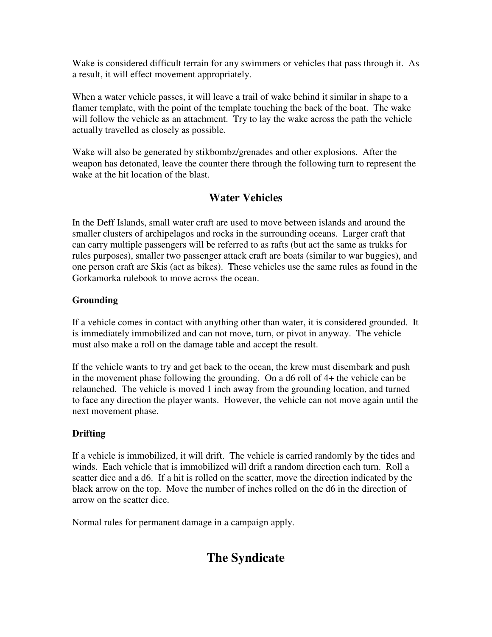Wake is considered difficult terrain for any swimmers or vehicles that pass through it. As a result, it will effect movement appropriately.

When a water vehicle passes, it will leave a trail of wake behind it similar in shape to a flamer template, with the point of the template touching the back of the boat. The wake will follow the vehicle as an attachment. Try to lay the wake across the path the vehicle actually travelled as closely as possible.

Wake will also be generated by stikbombz/grenades and other explosions. After the weapon has detonated, leave the counter there through the following turn to represent the wake at the hit location of the blast.

## **Water Vehicles**

In the Deff Islands, small water craft are used to move between islands and around the smaller clusters of archipelagos and rocks in the surrounding oceans. Larger craft that can carry multiple passengers will be referred to as rafts (but act the same as trukks for rules purposes), smaller two passenger attack craft are boats (similar to war buggies), and one person craft are Skis (act as bikes). These vehicles use the same rules as found in the Gorkamorka rulebook to move across the ocean.

## **Grounding**

If a vehicle comes in contact with anything other than water, it is considered grounded. It is immediately immobilized and can not move, turn, or pivot in anyway. The vehicle must also make a roll on the damage table and accept the result.

If the vehicle wants to try and get back to the ocean, the krew must disembark and push in the movement phase following the grounding. On a d6 roll of 4+ the vehicle can be relaunched. The vehicle is moved 1 inch away from the grounding location, and turned to face any direction the player wants. However, the vehicle can not move again until the next movement phase.

## **Drifting**

If a vehicle is immobilized, it will drift. The vehicle is carried randomly by the tides and winds. Each vehicle that is immobilized will drift a random direction each turn. Roll a scatter dice and a d6. If a hit is rolled on the scatter, move the direction indicated by the black arrow on the top. Move the number of inches rolled on the d6 in the direction of arrow on the scatter dice.

Normal rules for permanent damage in a campaign apply.

# **The Syndicate**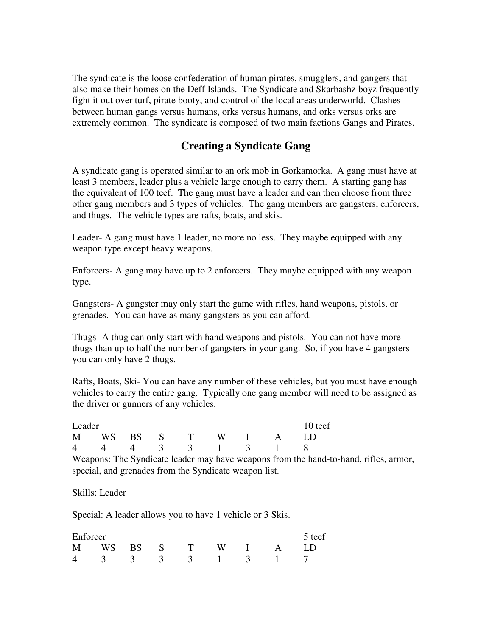The syndicate is the loose confederation of human pirates, smugglers, and gangers that also make their homes on the Deff Islands. The Syndicate and Skarbashz boyz frequently fight it out over turf, pirate booty, and control of the local areas underworld. Clashes between human gangs versus humans, orks versus humans, and orks versus orks are extremely common. The syndicate is composed of two main factions Gangs and Pirates.

## **Creating a Syndicate Gang**

A syndicate gang is operated similar to an ork mob in Gorkamorka. A gang must have at least 3 members, leader plus a vehicle large enough to carry them. A starting gang has the equivalent of 100 teef. The gang must have a leader and can then choose from three other gang members and 3 types of vehicles. The gang members are gangsters, enforcers, and thugs. The vehicle types are rafts, boats, and skis.

Leader- A gang must have 1 leader, no more no less. They maybe equipped with any weapon type except heavy weapons.

Enforcers- A gang may have up to 2 enforcers. They maybe equipped with any weapon type.

Gangsters- A gangster may only start the game with rifles, hand weapons, pistols, or grenades. You can have as many gangsters as you can afford.

Thugs- A thug can only start with hand weapons and pistols. You can not have more thugs than up to half the number of gangsters in your gang. So, if you have 4 gangsters you can only have 2 thugs.

Rafts, Boats, Ski- You can have any number of these vehicles, but you must have enough vehicles to carry the entire gang. Typically one gang member will need to be assigned as the driver or gunners of any vehicles.

| Leader |  |  |  |  |  |  |                      | 10 teef |
|--------|--|--|--|--|--|--|----------------------|---------|
|        |  |  |  |  |  |  | M WS BS S T W I A LD |         |
|        |  |  |  |  |  |  | 4 4 4 3 3 1 3 1 8    |         |

Weapons: The Syndicate leader may have weapons from the hand-to-hand, rifles, armor, special, and grenades from the Syndicate weapon list.

Skills: Leader

Special: A leader allows you to have 1 vehicle or 3 Skis.

| Enforcer |  |  |                   |  | 5 teef |
|----------|--|--|-------------------|--|--------|
|          |  |  | M WS BS S T W I A |  |        |
|          |  |  | 4 3 3 3 3 1 3 1 7 |  |        |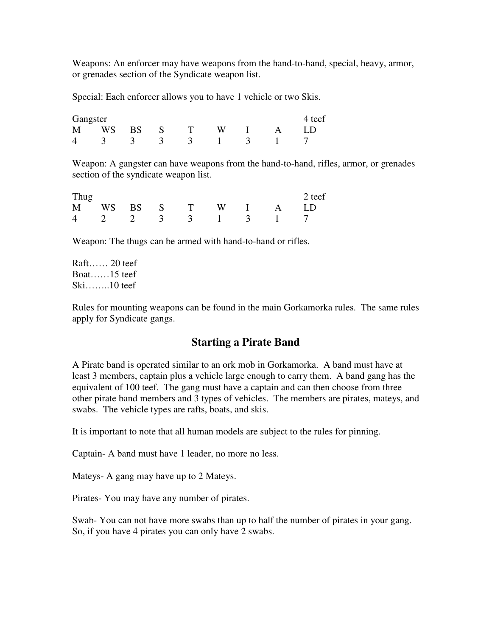Weapons: An enforcer may have weapons from the hand-to-hand, special, heavy, armor, or grenades section of the Syndicate weapon list.

Special: Each enforcer allows you to have 1 vehicle or two Skis.

| Gangster |  |                 |       |  |  |         |  |  |
|----------|--|-----------------|-------|--|--|---------|--|--|
| M WS     |  | <b>BS</b>       | $S$ T |  |  | $W$ I A |  |  |
|          |  | 4 3 3 3 3 1 3 1 |       |  |  |         |  |  |

Weapon: A gangster can have weapons from the hand-to-hand, rifles, armor, or grenades section of the syndicate weapon list.

| Thug |  |  |  |                      | 2 teef            |
|------|--|--|--|----------------------|-------------------|
|      |  |  |  | M WS BS S T W I A LD |                   |
|      |  |  |  |                      | 4 2 2 3 3 1 3 1 7 |

Weapon: The thugs can be armed with hand-to-hand or rifles.

Raft…… 20 teef Boat……15 teef Ski……..10 teef

Rules for mounting weapons can be found in the main Gorkamorka rules. The same rules apply for Syndicate gangs.

## **Starting a Pirate Band**

A Pirate band is operated similar to an ork mob in Gorkamorka. A band must have at least 3 members, captain plus a vehicle large enough to carry them. A band gang has the equivalent of 100 teef. The gang must have a captain and can then choose from three other pirate band members and 3 types of vehicles. The members are pirates, mateys, and swabs. The vehicle types are rafts, boats, and skis.

It is important to note that all human models are subject to the rules for pinning.

Captain- A band must have 1 leader, no more no less.

Mateys- A gang may have up to 2 Mateys.

Pirates- You may have any number of pirates.

Swab- You can not have more swabs than up to half the number of pirates in your gang. So, if you have 4 pirates you can only have 2 swabs.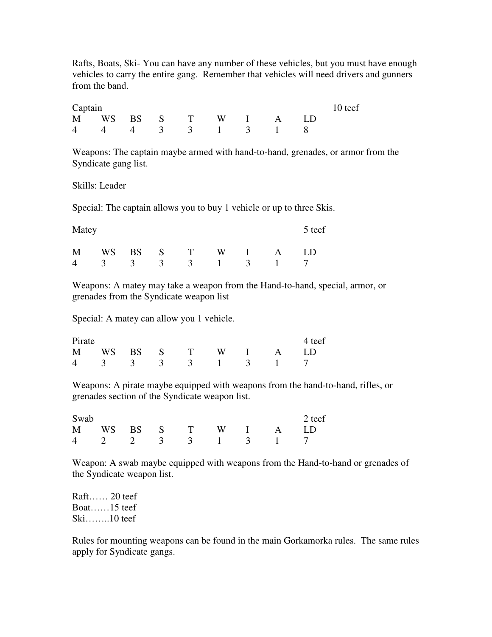Rafts, Boats, Ski- You can have any number of these vehicles, but you must have enough vehicles to carry the entire gang. Remember that vehicles will need drivers and gunners from the band.

| Captain |  |                      |  |  |  |  |  | 10 teef |  |
|---------|--|----------------------|--|--|--|--|--|---------|--|
|         |  | M WS BS S T W I A LD |  |  |  |  |  |         |  |
|         |  | 4 4 4 3 3 1 3 1 8    |  |  |  |  |  |         |  |

Weapons: The captain maybe armed with hand-to-hand, grenades, or armor from the Syndicate gang list.

#### Skills: Leader

Special: The captain allows you to buy 1 vehicle or up to three Skis.

| Matey |  |  |                 |                   | 5 teef |
|-------|--|--|-----------------|-------------------|--------|
| M     |  |  | WS BS S T W I A | 4 3 3 3 3 1 3 1 7 | LD     |

Weapons: A matey may take a weapon from the Hand-to-hand, special, armor, or grenades from the Syndicate weapon list

Special: A matey can allow you 1 vehicle.

| Pirate |  |  |                      |  | 4 teef            |
|--------|--|--|----------------------|--|-------------------|
|        |  |  | M WS BS S T W I A LD |  |                   |
|        |  |  |                      |  | 4 3 3 3 3 1 3 1 7 |

Weapons: A pirate maybe equipped with weapons from the hand-to-hand, rifles, or grenades section of the Syndicate weapon list.

| Swab |  |  |  |                      | 2 teef            |
|------|--|--|--|----------------------|-------------------|
|      |  |  |  | M WS BS S T W I A LD |                   |
|      |  |  |  |                      | 4 2 2 3 3 1 3 1 7 |

Weapon: A swab maybe equipped with weapons from the Hand-to-hand or grenades of the Syndicate weapon list.

Raft…… 20 teef Boat……15 teef Ski……..10 teef

Rules for mounting weapons can be found in the main Gorkamorka rules. The same rules apply for Syndicate gangs.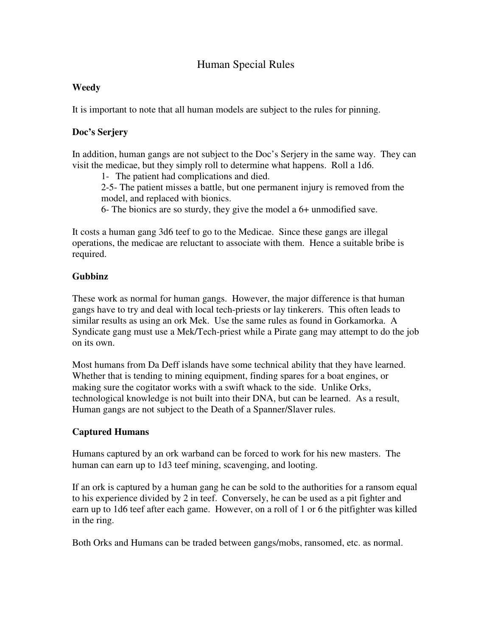## Human Special Rules

### **Weedy**

It is important to note that all human models are subject to the rules for pinning.

### **Doc's Serjery**

In addition, human gangs are not subject to the Doc's Serjery in the same way. They can visit the medicae, but they simply roll to determine what happens. Roll a 1d6.

1- The patient had complications and died.

2-5- The patient misses a battle, but one permanent injury is removed from the model, and replaced with bionics.

6- The bionics are so sturdy, they give the model a 6+ unmodified save.

It costs a human gang 3d6 teef to go to the Medicae. Since these gangs are illegal operations, the medicae are reluctant to associate with them. Hence a suitable bribe is required.

### **Gubbinz**

These work as normal for human gangs. However, the major difference is that human gangs have to try and deal with local tech-priests or lay tinkerers. This often leads to similar results as using an ork Mek. Use the same rules as found in Gorkamorka. A Syndicate gang must use a Mek/Tech-priest while a Pirate gang may attempt to do the job on its own.

Most humans from Da Deff islands have some technical ability that they have learned. Whether that is tending to mining equipment, finding spares for a boat engines, or making sure the cogitator works with a swift whack to the side. Unlike Orks, technological knowledge is not built into their DNA, but can be learned. As a result, Human gangs are not subject to the Death of a Spanner/Slaver rules.

## **Captured Humans**

Humans captured by an ork warband can be forced to work for his new masters. The human can earn up to 1d3 teef mining, scavenging, and looting.

If an ork is captured by a human gang he can be sold to the authorities for a ransom equal to his experience divided by 2 in teef. Conversely, he can be used as a pit fighter and earn up to 1d6 teef after each game. However, on a roll of 1 or 6 the pitfighter was killed in the ring.

Both Orks and Humans can be traded between gangs/mobs, ransomed, etc. as normal.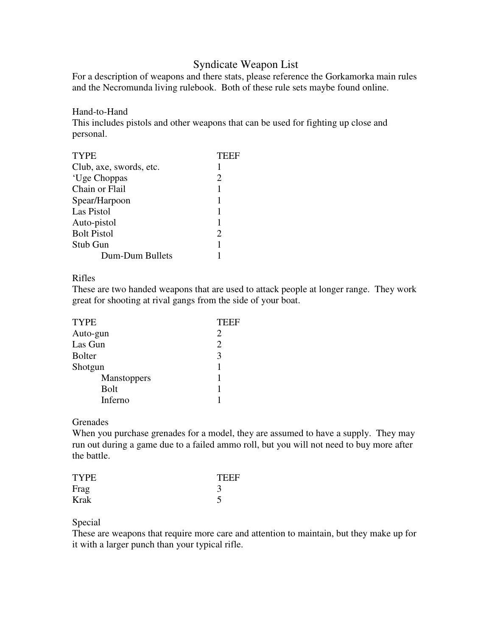## Syndicate Weapon List

For a description of weapons and there stats, please reference the Gorkamorka main rules and the Necromunda living rulebook. Both of these rule sets maybe found online.

#### Hand-to-Hand

This includes pistols and other weapons that can be used for fighting up close and personal.

| <b>TYPE</b>             | TEEF                        |
|-------------------------|-----------------------------|
| Club, axe, swords, etc. | 1                           |
| 'Uge Choppas            | $\mathcal{D}_{\mathcal{L}}$ |
| Chain or Flail          | 1                           |
| Spear/Harpoon           | 1                           |
| Las Pistol              | 1                           |
| Auto-pistol             |                             |
| <b>Bolt Pistol</b>      | $\mathcal{D}_{\mathcal{A}}$ |
| Stub Gun                |                             |
| Dum-Dum Bullets         |                             |

#### Rifles

These are two handed weapons that are used to attack people at longer range. They work great for shooting at rival gangs from the side of your boat.

| <b>TYPE</b>   | TEEF                        |
|---------------|-----------------------------|
| Auto-gun      | $\mathcal{D}_{\mathcal{A}}$ |
| Las Gun       | $\mathcal{D}_{\mathcal{A}}$ |
| <b>Bolter</b> | 3                           |
| Shotgun       |                             |
| Manstoppers   |                             |
| <b>Bolt</b>   |                             |
| Inferno       |                             |

#### **Grenades**

When you purchase grenades for a model, they are assumed to have a supply. They may run out during a game due to a failed ammo roll, but you will not need to buy more after the battle.

| <b>TYPE</b> | TEEF |
|-------------|------|
| Frag        |      |
| Krak        |      |

#### Special

These are weapons that require more care and attention to maintain, but they make up for it with a larger punch than your typical rifle.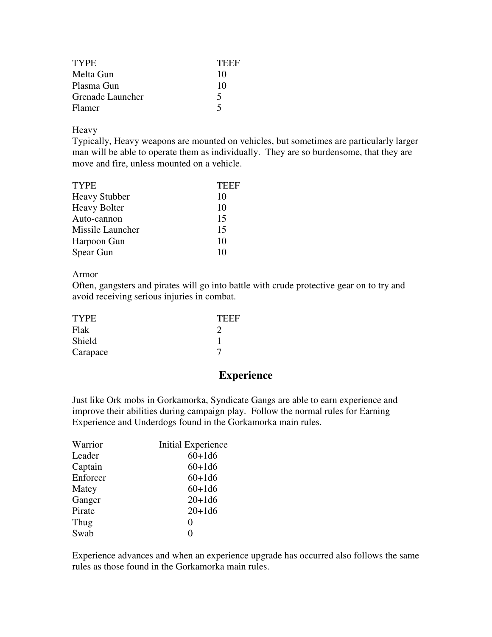| <b>TYPE</b>      | TEEF |
|------------------|------|
| Melta Gun        | 10   |
| Plasma Gun       | 10   |
| Grenade Launcher | 5    |
| Flamer           |      |

Heavy

Typically, Heavy weapons are mounted on vehicles, but sometimes are particularly larger man will be able to operate them as individually. They are so burdensome, that they are move and fire, unless mounted on a vehicle.

| TEEF |
|------|
| 10   |
| 10   |
| 15   |
| 15   |
| 10   |
| 10   |
|      |

Armor

Often, gangsters and pirates will go into battle with crude protective gear on to try and avoid receiving serious injuries in combat.

| <b>TYPE</b> | <b>TEEF</b> |
|-------------|-------------|
| Flak        |             |
| Shield      |             |
| Carapace    |             |

## **Experience**

Just like Ork mobs in Gorkamorka, Syndicate Gangs are able to earn experience and improve their abilities during campaign play. Follow the normal rules for Earning Experience and Underdogs found in the Gorkamorka main rules.

| Warrior  | Initial Experience |
|----------|--------------------|
| Leader   | $60 + 1d6$         |
| Captain  | $60 + 1d6$         |
| Enforcer | $60+1d6$           |
| Matey    | $60 + 1d6$         |
| Ganger   | $20 + 1d6$         |
| Pirate   | $20 + 1d6$         |
| Thug     | 0                  |
| Swab     | 0                  |

Experience advances and when an experience upgrade has occurred also follows the same rules as those found in the Gorkamorka main rules.